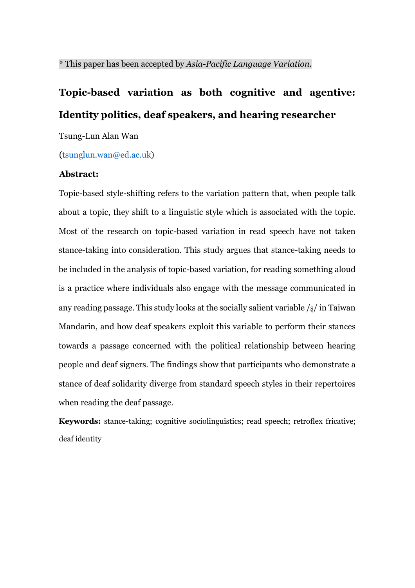# **Topic-based variation as both cognitive and agentive: Identity politics, deaf speakers, and hearing researcher**

Tsung-Lun Alan Wan

(tsunglun.wan@ed.ac.uk)

#### **Abstract:**

Topic-based style-shifting refers to the variation pattern that, when people talk about a topic, they shift to a linguistic style which is associated with the topic. Most of the research on topic-based variation in read speech have not taken stance-taking into consideration. This study argues that stance-taking needs to be included in the analysis of topic-based variation, for reading something aloud is a practice where individuals also engage with the message communicated in any reading passage. This study looks at the socially salient variable /ʂ/ in Taiwan Mandarin, and how deaf speakers exploit this variable to perform their stances towards a passage concerned with the political relationship between hearing people and deaf signers. The findings show that participants who demonstrate a stance of deaf solidarity diverge from standard speech styles in their repertoires when reading the deaf passage.

**Keywords:** stance-taking; cognitive sociolinguistics; read speech; retroflex fricative; deaf identity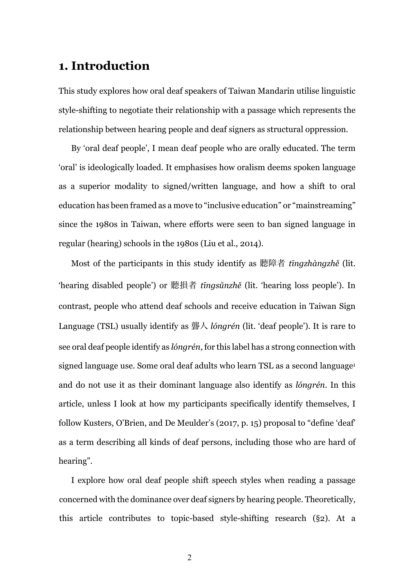# **1. Introduction**

This study explores how oral deaf speakers of Taiwan Mandarin utilise linguistic style-shifting to negotiate their relationship with a passage which represents the relationship between hearing people and deaf signers as structural oppression.

By 'oral deaf people', I mean deaf people who are orally educated. The term 'oral' is ideologically loaded. It emphasises how oralism deems spoken language as a superior modality to signed/written language, and how a shift to oral education has been framed as a move to "inclusive education" or "mainstreaming" since the 1980s in Taiwan, where efforts were seen to ban signed language in regular (hearing) schools in the 1980s (Liu et al., 2014).

Most of the participants in this study identify as 聽障者 *tīngzhàngzhě* (lit. 'hearing disabled people') or 聽損者 *tīngsǔnzhě* (lit. 'hearing loss people'). In contrast, people who attend deaf schools and receive education in Taiwan Sign Language (TSL) usually identify as 聾人 *lóngrén* (lit. 'deaf people'). It is rare to see oral deaf people identify as *lóngrén*, for this label has a strong connection with signed language use. Some oral deaf adults who learn TSL as a second language<sup>1</sup> and do not use it as their dominant language also identify as *lóngrén*. In this article, unless I look at how my participants specifically identify themselves, I follow Kusters, O'Brien, and De Meulder's (2017, p. 15) proposal to "define 'deaf' as a term describing all kinds of deaf persons, including those who are hard of hearing".

I explore how oral deaf people shift speech styles when reading a passage concerned with the dominance over deaf signers by hearing people. Theoretically, this article contributes to topic-based style-shifting research (§2). At a

2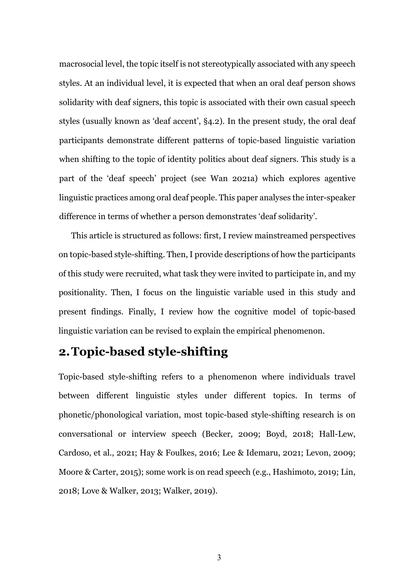macrosocial level, the topic itself is not stereotypically associated with any speech styles. At an individual level, it is expected that when an oral deaf person shows solidarity with deaf signers, this topic is associated with their own casual speech styles (usually known as 'deaf accent', §4.2). In the present study, the oral deaf participants demonstrate different patterns of topic-based linguistic variation when shifting to the topic of identity politics about deaf signers. This study is a part of the 'deaf speech' project (see Wan 2021a) which explores agentive linguistic practices among oral deaf people. This paper analyses the inter-speaker difference in terms of whether a person demonstrates 'deaf solidarity'.

This article is structured as follows: first, I review mainstreamed perspectives on topic-based style-shifting. Then, I provide descriptions of how the participants of this study were recruited, what task they were invited to participate in, and my positionality. Then, I focus on the linguistic variable used in this study and present findings. Finally, I review how the cognitive model of topic-based linguistic variation can be revised to explain the empirical phenomenon.

# **2.Topic-based style-shifting**

Topic-based style-shifting refers to a phenomenon where individuals travel between different linguistic styles under different topics. In terms of phonetic/phonological variation, most topic-based style-shifting research is on conversational or interview speech (Becker, 2009; Boyd, 2018; Hall-Lew, Cardoso, et al., 2021; Hay & Foulkes, 2016; Lee & Idemaru, 2021; Levon, 2009; Moore & Carter, 2015); some work is on read speech (e.g., Hashimoto, 2019; Lin, 2018; Love & Walker, 2013; Walker, 2019).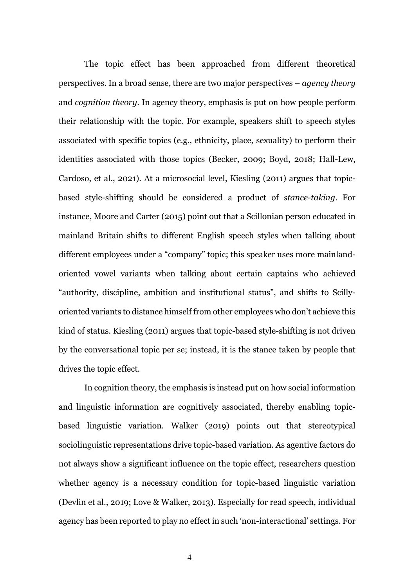The topic effect has been approached from different theoretical perspectives. In a broad sense, there are two major perspectives – *agency theory* and *cognition theory*. In agency theory, emphasis is put on how people perform their relationship with the topic. For example, speakers shift to speech styles associated with specific topics (e.g., ethnicity, place, sexuality) to perform their identities associated with those topics (Becker, 2009; Boyd, 2018; Hall-Lew, Cardoso, et al., 2021). At a microsocial level, Kiesling (2011) argues that topicbased style-shifting should be considered a product of *stance-taking*. For instance, Moore and Carter (2015) point out that a Scillonian person educated in mainland Britain shifts to different English speech styles when talking about different employees under a "company" topic; this speaker uses more mainlandoriented vowel variants when talking about certain captains who achieved "authority, discipline, ambition and institutional status", and shifts to Scillyoriented variants to distance himself from other employees who don't achieve this kind of status. Kiesling (2011) argues that topic-based style-shifting is not driven by the conversational topic per se; instead, it is the stance taken by people that drives the topic effect.

In cognition theory, the emphasis is instead put on how social information and linguistic information are cognitively associated, thereby enabling topicbased linguistic variation. Walker (2019) points out that stereotypical sociolinguistic representations drive topic-based variation. As agentive factors do not always show a significant influence on the topic effect, researchers question whether agency is a necessary condition for topic-based linguistic variation (Devlin et al., 2019; Love & Walker, 2013). Especially for read speech, individual agency has been reported to play no effect in such 'non-interactional' settings. For

4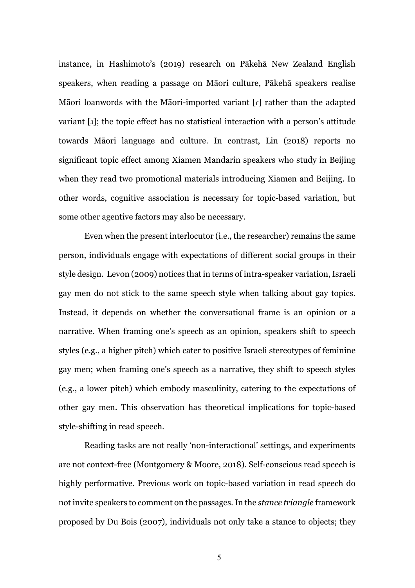instance, in Hashimoto's (2019) research on Pākehā New Zealand English speakers, when reading a passage on Māori culture, Pākehā speakers realise Māori loanwords with the Māori-imported variant [ɾ] rather than the adapted variant [ɹ]; the topic effect has no statistical interaction with a person's attitude towards Māori language and culture. In contrast, Lin (2018) reports no significant topic effect among Xiamen Mandarin speakers who study in Beijing when they read two promotional materials introducing Xiamen and Beijing. In other words, cognitive association is necessary for topic-based variation, but some other agentive factors may also be necessary.

Even when the present interlocutor (i.e., the researcher) remains the same person, individuals engage with expectations of different social groups in their style design. Levon (2009) notices that in terms of intra-speaker variation, Israeli gay men do not stick to the same speech style when talking about gay topics. Instead, it depends on whether the conversational frame is an opinion or a narrative. When framing one's speech as an opinion, speakers shift to speech styles (e.g., a higher pitch) which cater to positive Israeli stereotypes of feminine gay men; when framing one's speech as a narrative, they shift to speech styles (e.g., a lower pitch) which embody masculinity, catering to the expectations of other gay men. This observation has theoretical implications for topic-based style-shifting in read speech.

Reading tasks are not really 'non-interactional' settings, and experiments are not context-free (Montgomery & Moore, 2018). Self-conscious read speech is highly performative. Previous work on topic-based variation in read speech do not invite speakers to comment on the passages. In the *stance triangle* framework proposed by Du Bois (2007), individuals not only take a stance to objects; they

5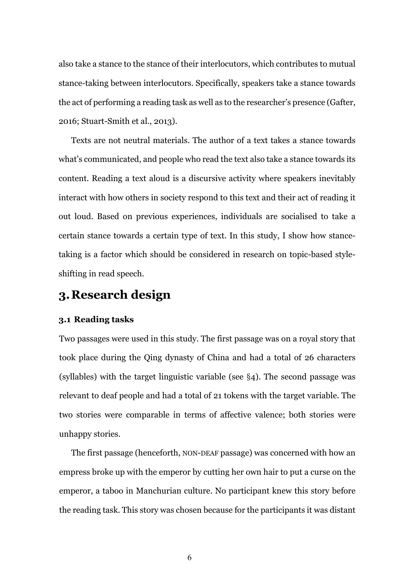also take a stance to the stance of their interlocutors, which contributes to mutual stance-taking between interlocutors. Specifically, speakers take a stance towards the act of performing a reading task as well as to the researcher's presence (Gafter, 2016; Stuart-Smith et al., 2013).

Texts are not neutral materials. The author of a text takes a stance towards what's communicated, and people who read the text also take a stance towards its content. Reading a text aloud is a discursive activity where speakers inevitably interact with how others in society respond to this text and their act of reading it out loud. Based on previous experiences, individuals are socialised to take a certain stance towards a certain type of text. In this study, I show how stancetaking is a factor which should be considered in research on topic-based styleshifting in read speech.

# **3.Research design**

#### **3.1 Reading tasks**

Two passages were used in this study. The first passage was on a royal story that took place during the Qing dynasty of China and had a total of 26 characters (syllables) with the target linguistic variable (see §4). The second passage was relevant to deaf people and had a total of 21 tokens with the target variable. The two stories were comparable in terms of affective valence; both stories were unhappy stories.

The first passage (henceforth, NON-DEAF passage) was concerned with how an empress broke up with the emperor by cutting her own hair to put a curse on the emperor, a taboo in Manchurian culture. No participant knew this story before the reading task. This story was chosen because for the participants it was distant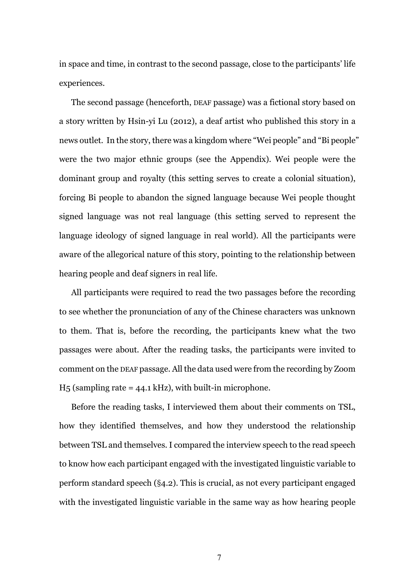in space and time, in contrast to the second passage, close to the participants' life experiences.

The second passage (henceforth, DEAF passage) was a fictional story based on a story written by Hsin-yi Lu (2012), a deaf artist who published this story in a news outlet. In the story, there was a kingdom where "Wei people" and "Bi people" were the two major ethnic groups (see the Appendix). Wei people were the dominant group and royalty (this setting serves to create a colonial situation), forcing Bi people to abandon the signed language because Wei people thought signed language was not real language (this setting served to represent the language ideology of signed language in real world). All the participants were aware of the allegorical nature of this story, pointing to the relationship between hearing people and deaf signers in real life.

All participants were required to read the two passages before the recording to see whether the pronunciation of any of the Chinese characters was unknown to them. That is, before the recording, the participants knew what the two passages were about. After the reading tasks, the participants were invited to comment on the DEAF passage. All the data used were from the recording by Zoom  $H_5$  (sampling rate = 44.1 kHz), with built-in microphone.

Before the reading tasks, I interviewed them about their comments on TSL, how they identified themselves, and how they understood the relationship between TSL and themselves. I compared the interview speech to the read speech to know how each participant engaged with the investigated linguistic variable to perform standard speech (§4.2). This is crucial, as not every participant engaged with the investigated linguistic variable in the same way as how hearing people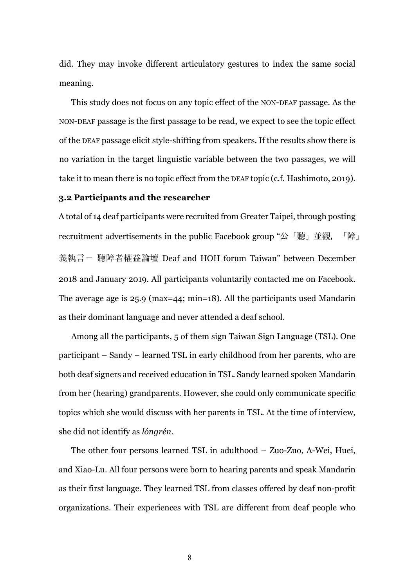did. They may invoke different articulatory gestures to index the same social meaning.

This study does not focus on any topic effect of the NON-DEAF passage. As the NON-DEAF passage is the first passage to be read, we expect to see the topic effect of the DEAF passage elicit style-shifting from speakers. If the results show there is no variation in the target linguistic variable between the two passages, we will take it to mean there is no topic effect from the DEAF topic (c.f. Hashimoto, 2019).

### **3.2 Participants and the researcher**

A total of 14 deaf participants were recruited from Greater Taipei, through posting recruitment advertisements in the public Facebook group "公「聽」並觀,「障」 義執言- 聽障者權益論壇 Deaf and HOH forum Taiwan" between December 2018 and January 2019. All participants voluntarily contacted me on Facebook. The average age is 25.9 (max=44; min=18). All the participants used Mandarin as their dominant language and never attended a deaf school.

Among all the participants, 5 of them sign Taiwan Sign Language (TSL). One participant – Sandy – learned TSL in early childhood from her parents, who are both deaf signers and received education in TSL. Sandy learned spoken Mandarin from her (hearing) grandparents. However, she could only communicate specific topics which she would discuss with her parents in TSL. At the time of interview, she did not identify as *lóngrén*.

The other four persons learned TSL in adulthood – Zuo-Zuo, A-Wei, Huei, and Xiao-Lu. All four persons were born to hearing parents and speak Mandarin as their first language. They learned TSL from classes offered by deaf non-profit organizations. Their experiences with TSL are different from deaf people who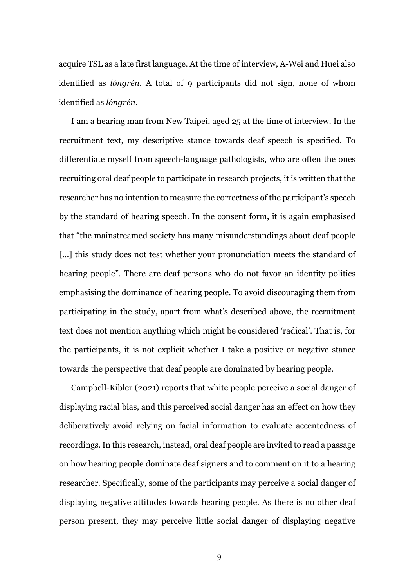acquire TSL as a late first language. At the time of interview, A-Wei and Huei also identified as *lóngrén*. A total of 9 participants did not sign, none of whom identified as *lóngrén*.

I am a hearing man from New Taipei, aged 25 at the time of interview. In the recruitment text, my descriptive stance towards deaf speech is specified. To differentiate myself from speech-language pathologists, who are often the ones recruiting oral deaf people to participate in research projects, it is written that the researcher has no intention to measure the correctness of the participant's speech by the standard of hearing speech. In the consent form, it is again emphasised that "the mainstreamed society has many misunderstandings about deaf people [...] this study does not test whether your pronunciation meets the standard of hearing people". There are deaf persons who do not favor an identity politics emphasising the dominance of hearing people. To avoid discouraging them from participating in the study, apart from what's described above, the recruitment text does not mention anything which might be considered 'radical'. That is, for the participants, it is not explicit whether I take a positive or negative stance towards the perspective that deaf people are dominated by hearing people.

Campbell-Kibler (2021) reports that white people perceive a social danger of displaying racial bias, and this perceived social danger has an effect on how they deliberatively avoid relying on facial information to evaluate accentedness of recordings. In this research, instead, oral deaf people are invited to read a passage on how hearing people dominate deaf signers and to comment on it to a hearing researcher. Specifically, some of the participants may perceive a social danger of displaying negative attitudes towards hearing people. As there is no other deaf person present, they may perceive little social danger of displaying negative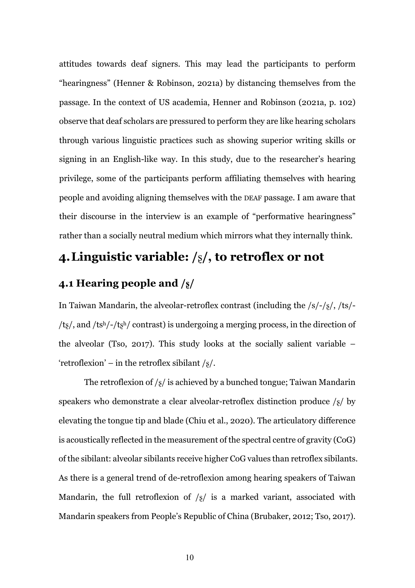attitudes towards deaf signers. This may lead the participants to perform "hearingness" (Henner & Robinson, 2021a) by distancing themselves from the passage. In the context of US academia, Henner and Robinson (2021a, p. 102) observe that deaf scholars are pressured to perform they are like hearing scholars through various linguistic practices such as showing superior writing skills or signing in an English-like way. In this study, due to the researcher's hearing privilege, some of the participants perform affiliating themselves with hearing people and avoiding aligning themselves with the DEAF passage. I am aware that their discourse in the interview is an example of "performative hearingness" rather than a socially neutral medium which mirrors what they internally think.

# **4.Linguistic variable: /**ʂ**/, to retroflex or not**

# **4.1 Hearing people and /ʂ/**

In Taiwan Mandarin, the alveolar-retroflex contrast (including the /s/-/ʂ/, /ts/- /tʂ/, and /tsh/-/tʂh/ contrast) is undergoing a merging process, in the direction of the alveolar (Tso, 2017). This study looks at the socially salient variable – 'retroflexion' – in the retroflex sibilant  $\frac{1}{8}$ .

The retroflexion of  $\frac{1}{8}$  is achieved by a bunched tongue; Taiwan Mandarin speakers who demonstrate a clear alveolar-retroflex distinction produce  $\frac{s}{\sqrt{2}}$  by elevating the tongue tip and blade (Chiu et al., 2020). The articulatory difference is acoustically reflected in the measurement of the spectral centre of gravity (CoG) of the sibilant: alveolar sibilants receive higher CoG values than retroflex sibilants. As there is a general trend of de-retroflexion among hearing speakers of Taiwan Mandarin, the full retroflexion of  $\frac{s}{s}$  is a marked variant, associated with Mandarin speakers from People's Republic of China (Brubaker, 2012; Tso, 2017).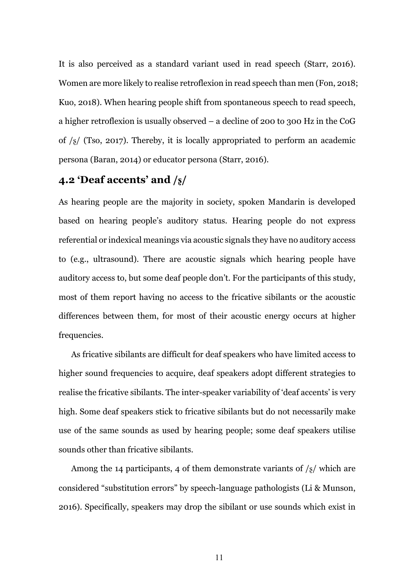It is also perceived as a standard variant used in read speech (Starr, 2016). Women are more likely to realise retroflexion in read speech than men (Fon, 2018; Kuo, 2018). When hearing people shift from spontaneous speech to read speech, a higher retroflexion is usually observed – a decline of 200 to 300 Hz in the CoG of  $\frac{1}{8}$  (Tso, 2017). Thereby, it is locally appropriated to perform an academic persona (Baran, 2014) or educator persona (Starr, 2016).

## **4.2 'Deaf accents' and /ʂ/**

As hearing people are the majority in society, spoken Mandarin is developed based on hearing people's auditory status. Hearing people do not express referential or indexical meanings via acoustic signals they have no auditory access to (e.g., ultrasound). There are acoustic signals which hearing people have auditory access to, but some deaf people don't. For the participants of this study, most of them report having no access to the fricative sibilants or the acoustic differences between them, for most of their acoustic energy occurs at higher frequencies.

As fricative sibilants are difficult for deaf speakers who have limited access to higher sound frequencies to acquire, deaf speakers adopt different strategies to realise the fricative sibilants. The inter-speaker variability of 'deaf accents' is very high. Some deaf speakers stick to fricative sibilants but do not necessarily make use of the same sounds as used by hearing people; some deaf speakers utilise sounds other than fricative sibilants.

Among the 14 participants, 4 of them demonstrate variants of  $\frac{1}{8}$  which are considered "substitution errors" by speech-language pathologists (Li & Munson, 2016). Specifically, speakers may drop the sibilant or use sounds which exist in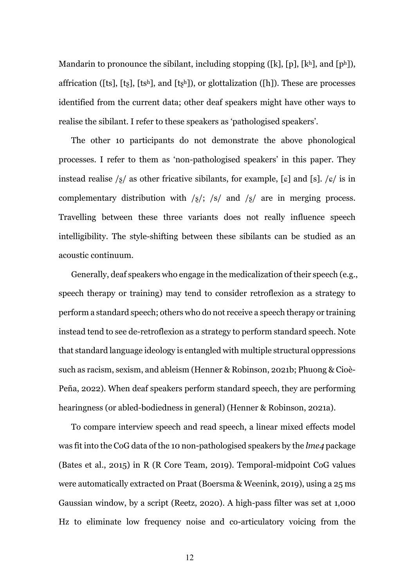Mandarin to pronounce the sibilant, including stopping ([k], [p], [kh], and [ph]), affrication ([ts], [ts], [tsh], and [tsh]), or glottalization ([h]). These are processes identified from the current data; other deaf speakers might have other ways to realise the sibilant. I refer to these speakers as 'pathologised speakers'.

The other 10 participants do not demonstrate the above phonological processes. I refer to them as 'non-pathologised speakers' in this paper. They instead realise  $\sqrt{s}$  as other fricative sibilants, for example, [c] and [s].  $\sqrt{s}$  is in complementary distribution with  $\frac{s}{s}$ ;  $\frac{s}{a}$  and  $\frac{s}{s}$  are in merging process. Travelling between these three variants does not really influence speech intelligibility. The style-shifting between these sibilants can be studied as an acoustic continuum.

Generally, deaf speakers who engage in the medicalization of their speech (e.g., speech therapy or training) may tend to consider retroflexion as a strategy to perform a standard speech; others who do not receive a speech therapy or training instead tend to see de-retroflexion as a strategy to perform standard speech. Note that standard language ideology is entangled with multiple structural oppressions such as racism, sexism, and ableism (Henner & Robinson, 2021b; Phuong & Cioè-Peña, 2022). When deaf speakers perform standard speech, they are performing hearingness (or abled-bodiedness in general) (Henner & Robinson, 2021a).

To compare interview speech and read speech, a linear mixed effects model was fit into the CoG data of the 10 non-pathologised speakers by the *lme4* package (Bates et al., 2015) in R (R Core Team, 2019). Temporal-midpoint CoG values were automatically extracted on Praat (Boersma & Weenink, 2019), using a 25 ms Gaussian window, by a script (Reetz, 2020). A high-pass filter was set at 1,000 Hz to eliminate low frequency noise and co-articulatory voicing from the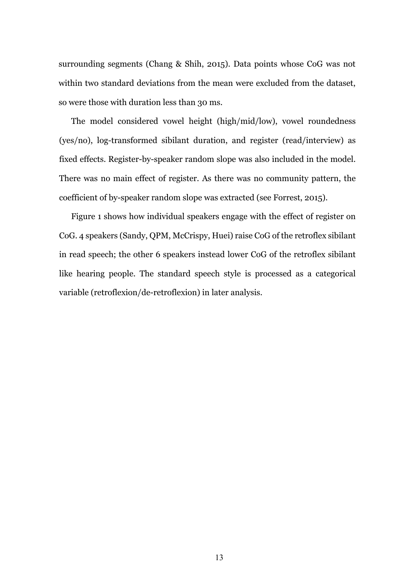surrounding segments (Chang & Shih, 2015). Data points whose CoG was not within two standard deviations from the mean were excluded from the dataset, so were those with duration less than 30 ms.

The model considered vowel height (high/mid/low), vowel roundedness (yes/no), log-transformed sibilant duration, and register (read/interview) as fixed effects. Register-by-speaker random slope was also included in the model. There was no main effect of register. As there was no community pattern, the coefficient of by-speaker random slope was extracted (see Forrest, 2015).

Figure 1 shows how individual speakers engage with the effect of register on CoG. 4 speakers (Sandy, QPM, McCrispy, Huei) raise CoG of the retroflex sibilant in read speech; the other 6 speakers instead lower CoG of the retroflex sibilant like hearing people. The standard speech style is processed as a categorical variable (retroflexion/de-retroflexion) in later analysis.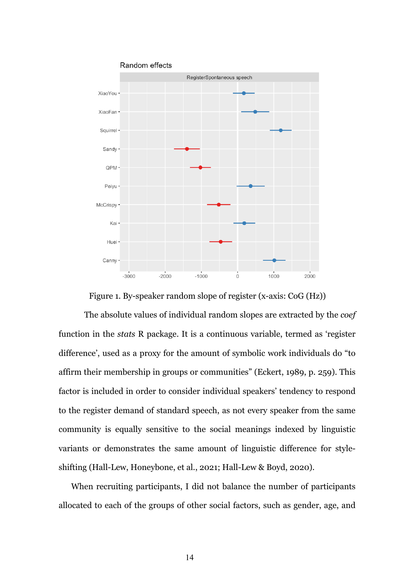

Figure 1. By-speaker random slope of register (x-axis: CoG (Hz))

The absolute values of individual random slopes are extracted by the *coef* function in the *stats* R package. It is a continuous variable, termed as 'register difference', used as a proxy for the amount of symbolic work individuals do "to affirm their membership in groups or communities" (Eckert, 1989, p. 259). This factor is included in order to consider individual speakers' tendency to respond to the register demand of standard speech, as not every speaker from the same community is equally sensitive to the social meanings indexed by linguistic variants or demonstrates the same amount of linguistic difference for styleshifting (Hall-Lew, Honeybone, et al., 2021; Hall-Lew & Boyd, 2020).

When recruiting participants, I did not balance the number of participants allocated to each of the groups of other social factors, such as gender, age, and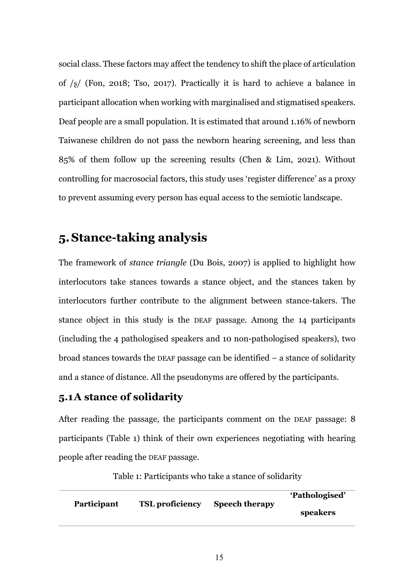social class. These factors may affect the tendency to shift the place of articulation of /ʂ/ (Fon, 2018; Tso, 2017). Practically it is hard to achieve a balance in participant allocation when working with marginalised and stigmatised speakers. Deaf people are a small population. It is estimated that around 1.16% of newborn Taiwanese children do not pass the newborn hearing screening, and less than 85% of them follow up the screening results (Chen & Lim, 2021). Without controlling for macrosocial factors, this study uses 'register difference' as a proxy to prevent assuming every person has equal access to the semiotic landscape.

## **5.Stance-taking analysis**

The framework of *stance triangle* (Du Bois, 2007) is applied to highlight how interlocutors take stances towards a stance object, and the stances taken by interlocutors further contribute to the alignment between stance-takers. The stance object in this study is the DEAF passage. Among the 14 participants (including the 4 pathologised speakers and 10 non-pathologised speakers), two broad stances towards the DEAF passage can be identified – a stance of solidarity and a stance of distance. All the pseudonyms are offered by the participants.

### **5.1A stance of solidarity**

After reading the passage, the participants comment on the DEAF passage: 8 participants (Table 1) think of their own experiences negotiating with hearing people after reading the DEAF passage.

|                    |                        |                       | 'Pathologised' |
|--------------------|------------------------|-----------------------|----------------|
| <b>Participant</b> | <b>TSL</b> proficiency | <b>Speech therapy</b> | speakers       |

Table 1: Participants who take a stance of solidarity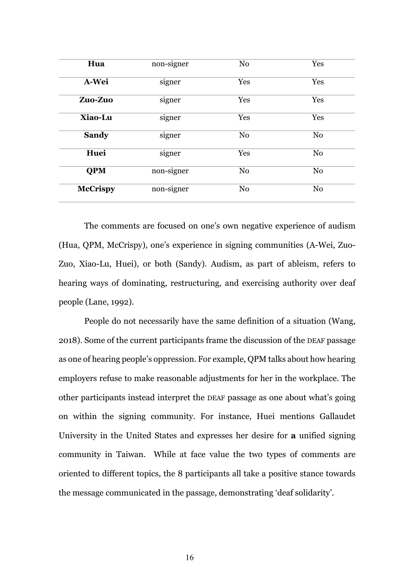| Hua             | non-signer | N <sub>o</sub> | Yes            |
|-----------------|------------|----------------|----------------|
| A-Wei           | signer     | Yes            | Yes            |
| Zuo-Zuo         | signer     | Yes            | Yes            |
| Xiao-Lu         | signer     |                | Yes            |
| <b>Sandy</b>    | signer     |                | N <sub>o</sub> |
| Huei            | signer     |                | N <sub>o</sub> |
| <b>QPM</b>      | non-signer | N <sub>0</sub> | N <sub>0</sub> |
| <b>McCrispy</b> | non-signer | N <sub>o</sub> | N <sub>0</sub> |

The comments are focused on one's own negative experience of audism (Hua, QPM, McCrispy), one's experience in signing communities (A-Wei, Zuo-Zuo, Xiao-Lu, Huei), or both (Sandy). Audism, as part of ableism, refers to hearing ways of dominating, restructuring, and exercising authority over deaf people (Lane, 1992).

People do not necessarily have the same definition of a situation (Wang, 2018). Some of the current participants frame the discussion of the DEAF passage as one of hearing people's oppression. For example, QPM talks about how hearing employers refuse to make reasonable adjustments for her in the workplace. The other participants instead interpret the DEAF passage as one about what's going on within the signing community. For instance, Huei mentions Gallaudet University in the United States and expresses her desire for **a** unified signing community in Taiwan. While at face value the two types of comments are oriented to different topics, the 8 participants all take a positive stance towards the message communicated in the passage, demonstrating 'deaf solidarity'.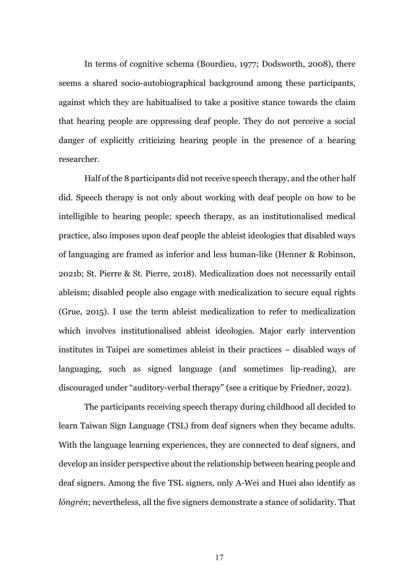In terms of cognitive schema (Bourdieu, 1977; Dodsworth, 2008), there seems a shared socio-autobiographical background among these participants, against which they are habitualised to take a positive stance towards the claim that hearing people are oppressing deaf people. They do not perceive a social danger of explicitly criticizing hearing people in the presence of a hearing researcher.

Half of the 8 participants did not receive speech therapy, and the other half did. Speech therapy is not only about working with deaf people on how to be intelligible to hearing people; speech therapy, as an institutionalised medical practice, also imposes upon deaf people the ableist ideologies that disabled ways of languaging are framed as inferior and less human-like (Henner & Robinson, 2021b; St. Pierre & St. Pierre, 2018). Medicalization does not necessarily entail ableism; disabled people also engage with medicalization to secure equal rights (Grue, 2015). I use the term ableist medicalization to refer to medicalization which involves institutionalised ableist ideologies. Major early intervention institutes in Taipei are sometimes ableist in their practices – disabled ways of languaging, such as signed language (and sometimes lip-reading), are discouraged under "auditory-verbal therapy" (see a critique by Friedner, 2022).

The participants receiving speech therapy during childhood all decided to learn Taiwan Sign Language (TSL) from deaf signers when they became adults. With the language learning experiences, they are connected to deaf signers, and develop an insider perspective about the relationship between hearing people and deaf signers. Among the five TSL signers, only A-Wei and Huei also identify as *lóngrén*; nevertheless, all the five signers demonstrate a stance of solidarity. That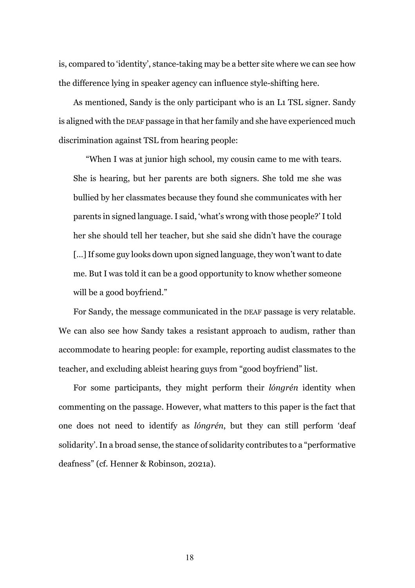is, compared to 'identity', stance-taking may be a better site where we can see how the difference lying in speaker agency can influence style-shifting here.

As mentioned, Sandy is the only participant who is an L1 TSL signer. Sandy is aligned with the DEAF passage in that her family and she have experienced much discrimination against TSL from hearing people:

"When I was at junior high school, my cousin came to me with tears. She is hearing, but her parents are both signers. She told me she was bullied by her classmates because they found she communicates with her parents in signed language. I said, 'what's wrong with those people?' I told her she should tell her teacher, but she said she didn't have the courage [...] If some guy looks down upon signed language, they won't want to date me. But I was told it can be a good opportunity to know whether someone will be a good boyfriend."

For Sandy, the message communicated in the DEAF passage is very relatable. We can also see how Sandy takes a resistant approach to audism, rather than accommodate to hearing people: for example, reporting audist classmates to the teacher, and excluding ableist hearing guys from "good boyfriend" list.

For some participants, they might perform their *lóngrén* identity when commenting on the passage. However, what matters to this paper is the fact that one does not need to identify as *lóngrén*, but they can still perform 'deaf solidarity'. In a broad sense, the stance of solidarity contributes to a "performative deafness" (cf. Henner & Robinson, 2021a).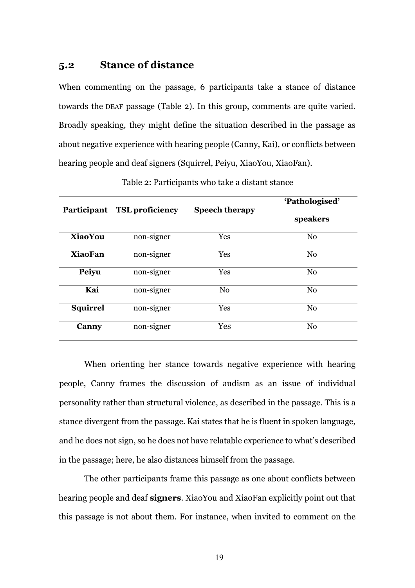### **5.2 Stance of distance**

When commenting on the passage, 6 participants take a stance of distance towards the DEAF passage (Table 2). In this group, comments are quite varied. Broadly speaking, they might define the situation described in the passage as about negative experience with hearing people (Canny, Kai), or conflicts between hearing people and deaf signers (Squirrel, Peiyu, XiaoYou, XiaoFan).

|                 | <b>TSL</b> proficiency |                       | 'Pathologised' |  |
|-----------------|------------------------|-----------------------|----------------|--|
| Participant     |                        | <b>Speech therapy</b> | speakers       |  |
| <b>XiaoYou</b>  | non-signer             | Yes                   | N <sub>0</sub> |  |
| <b>XiaoFan</b>  | non-signer             | Yes                   | N <sub>0</sub> |  |
| Peiyu           | non-signer             | Yes                   | N <sub>o</sub> |  |
| Kai             | non-signer             | N <sub>o</sub>        | N <sub>o</sub> |  |
| <b>Squirrel</b> | non-signer             | Yes                   | N <sub>0</sub> |  |
| Canny           | non-signer             | <b>Yes</b>            | N <sub>0</sub> |  |
|                 |                        |                       |                |  |

Table 2: Participants who take a distant stance

When orienting her stance towards negative experience with hearing people, Canny frames the discussion of audism as an issue of individual personality rather than structural violence, as described in the passage. This is a stance divergent from the passage. Kai states that he is fluent in spoken language, and he does not sign, so he does not have relatable experience to what's described in the passage; here, he also distances himself from the passage.

The other participants frame this passage as one about conflicts between hearing people and deaf **signers**. XiaoYou and XiaoFan explicitly point out that this passage is not about them. For instance, when invited to comment on the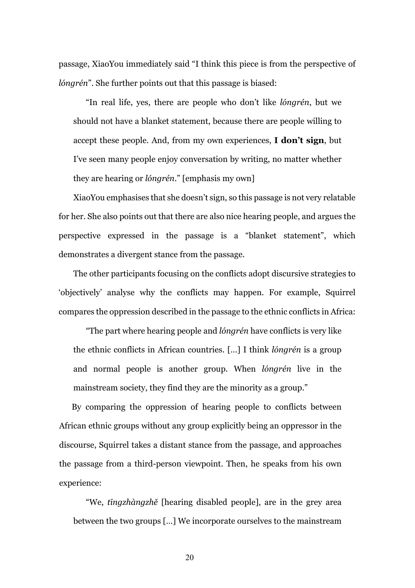passage, XiaoYou immediately said "I think this piece is from the perspective of *lóngrén*". She further points out that this passage is biased:

"In real life, yes, there are people who don't like *lóngrén*, but we should not have a blanket statement, because there are people willing to accept these people. And, from my own experiences, **I don't sign**, but I've seen many people enjoy conversation by writing, no matter whether they are hearing or *lóngrén*." [emphasis my own]

XiaoYou emphasises that she doesn't sign, so this passage is not very relatable for her. She also points out that there are also nice hearing people, and argues the perspective expressed in the passage is a "blanket statement", which demonstrates a divergent stance from the passage.

The other participants focusing on the conflicts adopt discursive strategies to 'objectively' analyse why the conflicts may happen. For example, Squirrel compares the oppression described in the passage to the ethnic conflicts in Africa:

"The part where hearing people and *lóngrén* have conflicts is very like the ethnic conflicts in African countries. […] I think *lóngrén* is a group and normal people is another group. When *lóngrén* live in the mainstream society, they find they are the minority as a group."

By comparing the oppression of hearing people to conflicts between African ethnic groups without any group explicitly being an oppressor in the discourse, Squirrel takes a distant stance from the passage, and approaches the passage from a third-person viewpoint. Then, he speaks from his own experience:

"We, *tīngzhàngzhě* [hearing disabled people], are in the grey area between the two groups […] We incorporate ourselves to the mainstream

20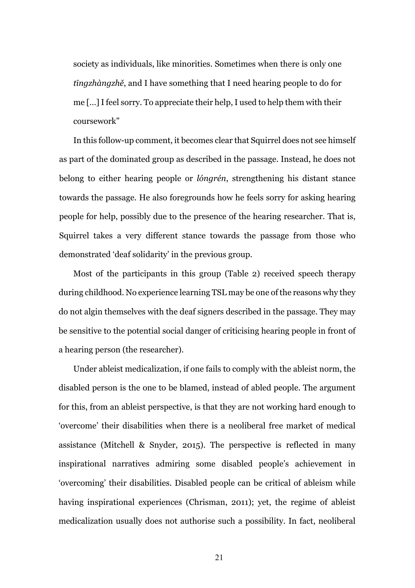society as individuals, like minorities. Sometimes when there is only one *tīngzhàngzhě*, and I have something that I need hearing people to do for me […] I feel sorry. To appreciate their help, I used to help them with their coursework"

In this follow-up comment, it becomes clear that Squirrel does not see himself as part of the dominated group as described in the passage. Instead, he does not belong to either hearing people or *lóngrén*, strengthening his distant stance towards the passage. He also foregrounds how he feels sorry for asking hearing people for help, possibly due to the presence of the hearing researcher. That is, Squirrel takes a very different stance towards the passage from those who demonstrated 'deaf solidarity' in the previous group.

Most of the participants in this group (Table 2) received speech therapy during childhood. No experience learning TSL may be one of the reasons why they do not algin themselves with the deaf signers described in the passage. They may be sensitive to the potential social danger of criticising hearing people in front of a hearing person (the researcher).

Under ableist medicalization, if one fails to comply with the ableist norm, the disabled person is the one to be blamed, instead of abled people. The argument for this, from an ableist perspective, is that they are not working hard enough to 'overcome' their disabilities when there is a neoliberal free market of medical assistance (Mitchell & Snyder, 2015). The perspective is reflected in many inspirational narratives admiring some disabled people's achievement in 'overcoming' their disabilities. Disabled people can be critical of ableism while having inspirational experiences (Chrisman, 2011); yet, the regime of ableist medicalization usually does not authorise such a possibility. In fact, neoliberal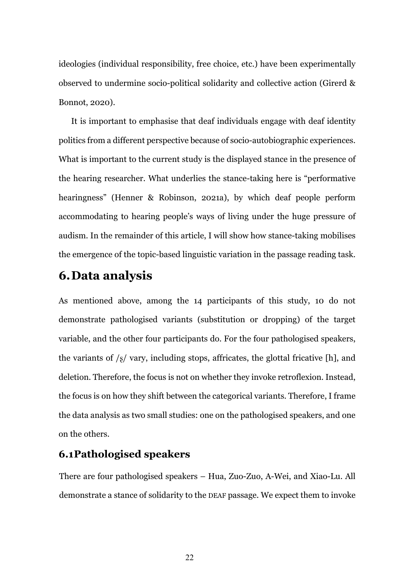ideologies (individual responsibility, free choice, etc.) have been experimentally observed to undermine socio-political solidarity and collective action (Girerd & Bonnot, 2020).

It is important to emphasise that deaf individuals engage with deaf identity politics from a different perspective because of socio-autobiographic experiences. What is important to the current study is the displayed stance in the presence of the hearing researcher. What underlies the stance-taking here is "performative hearingness" (Henner & Robinson, 2021a), by which deaf people perform accommodating to hearing people's ways of living under the huge pressure of audism. In the remainder of this article, I will show how stance-taking mobilises the emergence of the topic-based linguistic variation in the passage reading task.

# **6.Data analysis**

As mentioned above, among the 14 participants of this study, 10 do not demonstrate pathologised variants (substitution or dropping) of the target variable, and the other four participants do. For the four pathologised speakers, the variants of  $\frac{1}{8}$  vary, including stops, affricates, the glottal fricative [h], and deletion. Therefore, the focus is not on whether they invoke retroflexion. Instead, the focus is on how they shift between the categorical variants. Therefore, I frame the data analysis as two small studies: one on the pathologised speakers, and one on the others.

### **6.1Pathologised speakers**

There are four pathologised speakers – Hua, Zuo-Zuo, A-Wei, and Xiao-Lu. All demonstrate a stance of solidarity to the DEAF passage. We expect them to invoke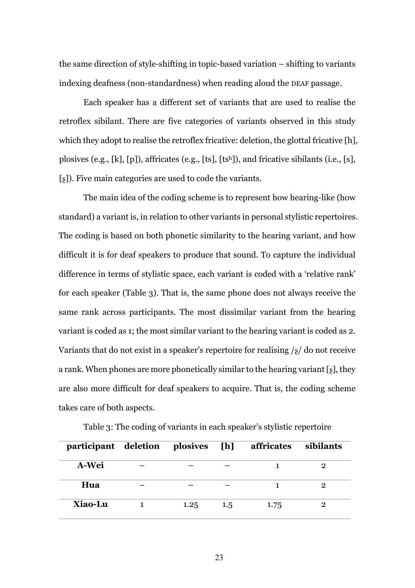the same direction of style-shifting in topic-based variation – shifting to variants indexing deafness (non-standardness) when reading aloud the DEAF passage.

Each speaker has a different set of variants that are used to realise the retroflex sibilant. There are five categories of variants observed in this study which they adopt to realise the retroflex fricative: deletion, the glottal fricative [h], plosives (e.g., [k], [p]), affricates (e.g., [ts], [tsh]), and fricative sibilants (i.e., [s], [ʂ]). Five main categories are used to code the variants.

The main idea of the coding scheme is to represent how hearing-like (how standard) a variant is, in relation to other variants in personal stylistic repertoires. The coding is based on both phonetic similarity to the hearing variant, and how difficult it is for deaf speakers to produce that sound. To capture the individual difference in terms of stylistic space, each variant is coded with a 'relative rank' for each speaker (Table 3). That is, the same phone does not always receive the same rank across participants. The most dissimilar variant from the hearing variant is coded as 1; the most similar variant to the hearing variant is coded as 2. Variants that do not exist in a speaker's repertoire for realising /ʂ/ do not receive a rank. When phones are more phonetically similar to the hearing variant [ʂ], they are also more difficult for deaf speakers to acquire. That is, the coding scheme takes care of both aspects.

| participant deletion plosives [h] |      |     | affricates | sibilants |
|-----------------------------------|------|-----|------------|-----------|
| A-Wei                             |      |     |            | 2         |
| Hua                               |      |     |            | 2         |
| Xiao-Lu                           | 1.25 | 1.5 | 1.75       |           |

Table 3: The coding of variants in each speaker's stylistic repertoire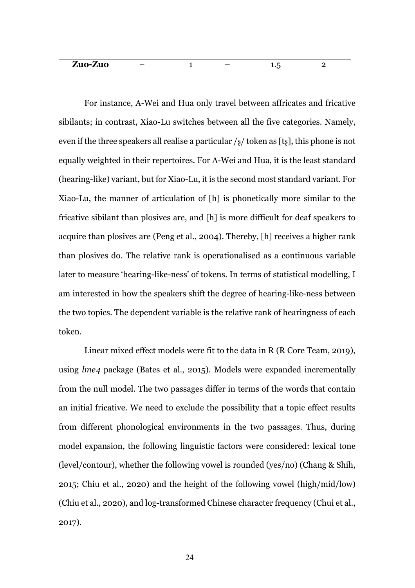| Zuo-Zuo | - |  | - |  |
|---------|---|--|---|--|
|         |   |  |   |  |

For instance, A-Wei and Hua only travel between affricates and fricative sibilants; in contrast, Xiao-Lu switches between all the five categories. Namely, even if the three speakers all realise a particular  $\frac{1}{8}$  token as [ts], this phone is not equally weighted in their repertoires. For A-Wei and Hua, it is the least standard (hearing-like) variant, but for Xiao-Lu, it is the second most standard variant. For Xiao-Lu, the manner of articulation of [h] is phonetically more similar to the fricative sibilant than plosives are, and [h] is more difficult for deaf speakers to acquire than plosives are (Peng et al., 2004). Thereby, [h] receives a higher rank than plosives do. The relative rank is operationalised as a continuous variable later to measure 'hearing-like-ness' of tokens. In terms of statistical modelling, I am interested in how the speakers shift the degree of hearing-like-ness between the two topics. The dependent variable is the relative rank of hearingness of each token.

Linear mixed effect models were fit to the data in R (R Core Team, 2019), using *lme4* package (Bates et al., 2015). Models were expanded incrementally from the null model. The two passages differ in terms of the words that contain an initial fricative. We need to exclude the possibility that a topic effect results from different phonological environments in the two passages. Thus, during model expansion, the following linguistic factors were considered: lexical tone (level/contour), whether the following vowel is rounded (yes/no) (Chang & Shih, 2015; Chiu et al., 2020) and the height of the following vowel (high/mid/low) (Chiu et al., 2020), and log-transformed Chinese character frequency (Chui et al., 2017).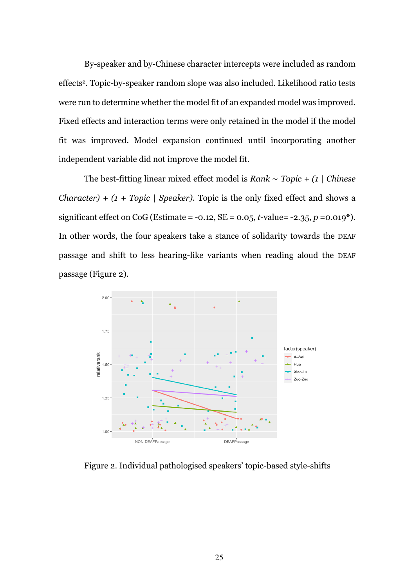By-speaker and by-Chinese character intercepts were included as random effects2. Topic-by-speaker random slope was also included. Likelihood ratio tests were run to determine whether the model fit of an expanded model was improved. Fixed effects and interaction terms were only retained in the model if the model fit was improved. Model expansion continued until incorporating another independent variable did not improve the model fit.

The best-fitting linear mixed effect model is *Rank* ∼ *Topic + (1 | Chinese Character) + (1 + Topic | Speaker)*. Topic is the only fixed effect and shows a significant effect on CoG (Estimate =  $-0.12$ , SE =  $0.05$ , *t* $-$ value=  $-2.35$ , *p* =  $0.019$ <sup>\*</sup>). In other words, the four speakers take a stance of solidarity towards the DEAF passage and shift to less hearing-like variants when reading aloud the DEAF passage (Figure 2).



Figure 2. Individual pathologised speakers' topic-based style-shifts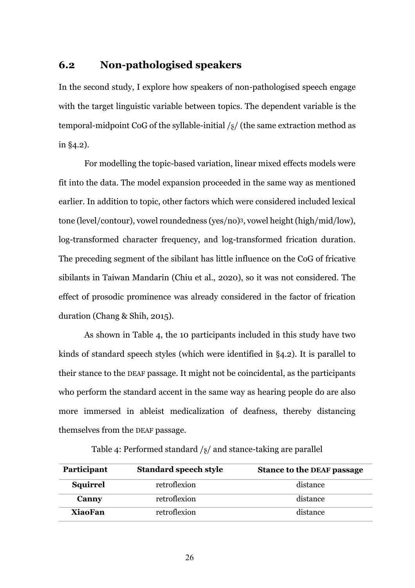### **6.2 Non-pathologised speakers**

In the second study, I explore how speakers of non-pathologised speech engage with the target linguistic variable between topics. The dependent variable is the temporal-midpoint CoG of the syllable-initial /ʂ/ (the same extraction method as in §4.2).

For modelling the topic-based variation, linear mixed effects models were fit into the data. The model expansion proceeded in the same way as mentioned earlier. In addition to topic, other factors which were considered included lexical tone (level/contour), vowel roundedness (yes/no)3, vowel height (high/mid/low), log-transformed character frequency, and log-transformed frication duration. The preceding segment of the sibilant has little influence on the CoG of fricative sibilants in Taiwan Mandarin (Chiu et al., 2020), so it was not considered. The effect of prosodic prominence was already considered in the factor of frication duration (Chang & Shih, 2015).

As shown in Table 4, the 10 participants included in this study have two kinds of standard speech styles (which were identified in §4.2). It is parallel to their stance to the DEAF passage. It might not be coincidental, as the participants who perform the standard accent in the same way as hearing people do are also more immersed in ableist medicalization of deafness, thereby distancing themselves from the DEAF passage.

| Participant     | <b>Standard speech style</b> | <b>Stance to the DEAF passage</b> |
|-----------------|------------------------------|-----------------------------------|
| <b>Squirrel</b> | retroflexion                 | distance                          |
| Canny           | retroflexion                 | distance                          |
| <b>XiaoFan</b>  | retroflexion                 | distance                          |

Table 4: Performed standard  $\frac{s}{a}$  and stance-taking are parallel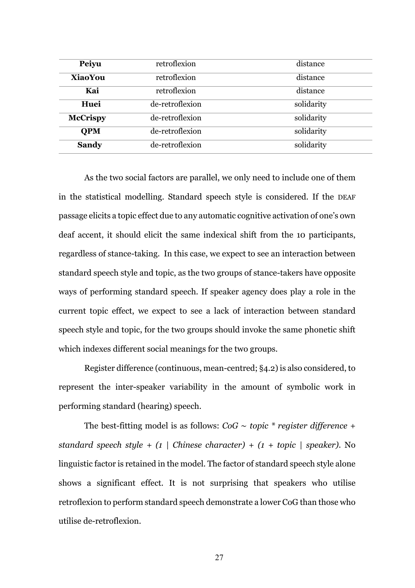| Peiyu           | retroflexion    | distance   |
|-----------------|-----------------|------------|
| <b>XiaoYou</b>  | retroflexion    | distance   |
| Kai             | retroflexion    | distance   |
| Huei            | de-retroflexion | solidarity |
| <b>McCrispy</b> | de-retroflexion | solidarity |
| <b>OPM</b>      | de-retroflexion | solidarity |
| <b>Sandy</b>    | de-retroflexion | solidarity |

As the two social factors are parallel, we only need to include one of them in the statistical modelling. Standard speech style is considered. If the DEAF passage elicits a topic effect due to any automatic cognitive activation of one's own deaf accent, it should elicit the same indexical shift from the 10 participants, regardless of stance-taking. In this case, we expect to see an interaction between standard speech style and topic, as the two groups of stance-takers have opposite ways of performing standard speech. If speaker agency does play a role in the current topic effect, we expect to see a lack of interaction between standard speech style and topic, for the two groups should invoke the same phonetic shift which indexes different social meanings for the two groups.

Register difference (continuous, mean-centred; §4.2) is also considered, to represent the inter-speaker variability in the amount of symbolic work in performing standard (hearing) speech.

The best-fitting model is as follows: *CoG* ∼ *topic \* register difference + standard speech style + (1 | Chinese character) + (1 + topic | speaker)*. No linguistic factor is retained in the model. The factor of standard speech style alone shows a significant effect. It is not surprising that speakers who utilise retroflexion to perform standard speech demonstrate a lower CoG than those who utilise de-retroflexion.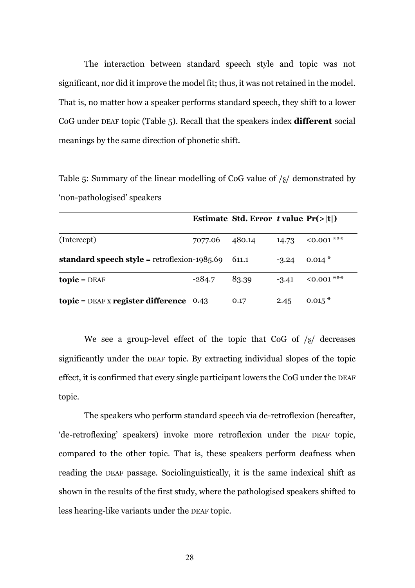The interaction between standard speech style and topic was not significant, nor did it improve the model fit; thus, it was not retained in the model. That is, no matter how a speaker performs standard speech, they shift to a lower CoG under DEAF topic (Table 5). Recall that the speakers index **different** social meanings by the same direction of phonetic shift.

Table 5: Summary of the linear modelling of CoG value of  $\frac{1}{8}$  demonstrated by 'non-pathologised' speakers

|                                                                     |          | Estimate Std. Error t value $Pr(> t )$ |         |             |
|---------------------------------------------------------------------|----------|----------------------------------------|---------|-------------|
| (Intercept)                                                         | 7077.06  | 480.14                                 | 14.73   | $0.001$ *** |
| standard speech style = retroflexion-1985.69                        |          | 611.1                                  | $-3.24$ | $0.014*$    |
| $topic = DEAF$                                                      | $-284.7$ | 83.39                                  | $-3.41$ | $0.001$ *** |
| $\text{topic} = \text{DEAF} \times \text{register difference}$ 0.43 |          | 0.17                                   | 2.45    | $0.015*$    |

We see a group-level effect of the topic that CoG of  $\frac{s}{s}$  decreases significantly under the DEAF topic. By extracting individual slopes of the topic effect, it is confirmed that every single participant lowers the CoG under the DEAF topic.

The speakers who perform standard speech via de-retroflexion (hereafter, 'de-retroflexing' speakers) invoke more retroflexion under the DEAF topic, compared to the other topic. That is, these speakers perform deafness when reading the DEAF passage. Sociolinguistically, it is the same indexical shift as shown in the results of the first study, where the pathologised speakers shifted to less hearing-like variants under the DEAF topic.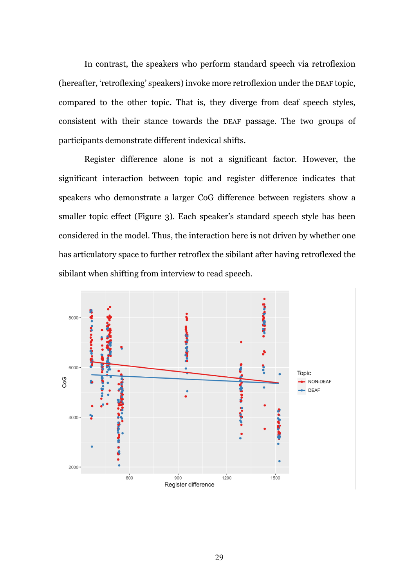In contrast, the speakers who perform standard speech via retroflexion (hereafter, 'retroflexing' speakers) invoke more retroflexion under the DEAF topic, compared to the other topic. That is, they diverge from deaf speech styles, consistent with their stance towards the DEAF passage. The two groups of participants demonstrate different indexical shifts.

Register difference alone is not a significant factor. However, the significant interaction between topic and register difference indicates that speakers who demonstrate a larger CoG difference between registers show a smaller topic effect (Figure 3). Each speaker's standard speech style has been considered in the model. Thus, the interaction here is not driven by whether one has articulatory space to further retroflex the sibilant after having retroflexed the sibilant when shifting from interview to read speech.

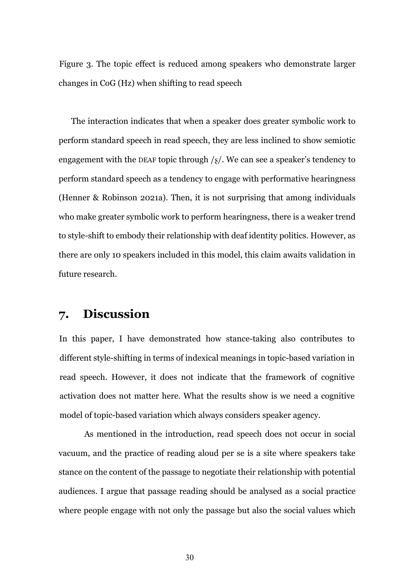Figure 3. The topic effect is reduced among speakers who demonstrate larger changes in CoG (Hz) when shifting to read speech

The interaction indicates that when a speaker does greater symbolic work to perform standard speech in read speech, they are less inclined to show semiotic engagement with the DEAF topic through  $\frac{s}{}$ . We can see a speaker's tendency to perform standard speech as a tendency to engage with performative hearingness (Henner & Robinson 2021a). Then, it is not surprising that among individuals who make greater symbolic work to perform hearingness, there is a weaker trend to style-shift to embody their relationship with deaf identity politics. However, as there are only 10 speakers included in this model, this claim awaits validation in future research.

# **7. Discussion**

In this paper, I have demonstrated how stance-taking also contributes to different style-shifting in terms of indexical meanings in topic-based variation in read speech. However, it does not indicate that the framework of cognitive activation does not matter here. What the results show is we need a cognitive model of topic-based variation which always considers speaker agency.

As mentioned in the introduction, read speech does not occur in social vacuum, and the practice of reading aloud per se is a site where speakers take stance on the content of the passage to negotiate their relationship with potential audiences. I argue that passage reading should be analysed as a social practice where people engage with not only the passage but also the social values which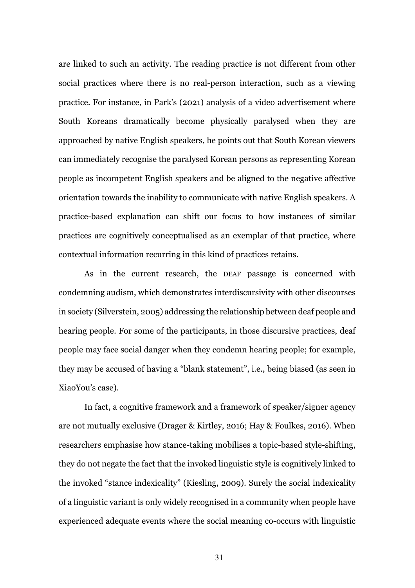are linked to such an activity. The reading practice is not different from other social practices where there is no real-person interaction, such as a viewing practice. For instance, in Park's (2021) analysis of a video advertisement where South Koreans dramatically become physically paralysed when they are approached by native English speakers, he points out that South Korean viewers can immediately recognise the paralysed Korean persons as representing Korean people as incompetent English speakers and be aligned to the negative affective orientation towards the inability to communicate with native English speakers. A practice-based explanation can shift our focus to how instances of similar practices are cognitively conceptualised as an exemplar of that practice, where contextual information recurring in this kind of practices retains.

As in the current research, the DEAF passage is concerned with condemning audism, which demonstrates interdiscursivity with other discourses in society (Silverstein, 2005) addressing the relationship between deaf people and hearing people. For some of the participants, in those discursive practices, deaf people may face social danger when they condemn hearing people; for example, they may be accused of having a "blank statement", i.e., being biased (as seen in XiaoYou's case).

In fact, a cognitive framework and a framework of speaker/signer agency are not mutually exclusive (Drager & Kirtley, 2016; Hay & Foulkes, 2016). When researchers emphasise how stance-taking mobilises a topic-based style-shifting, they do not negate the fact that the invoked linguistic style is cognitively linked to the invoked "stance indexicality" (Kiesling, 2009). Surely the social indexicality of a linguistic variant is only widely recognised in a community when people have experienced adequate events where the social meaning co-occurs with linguistic

31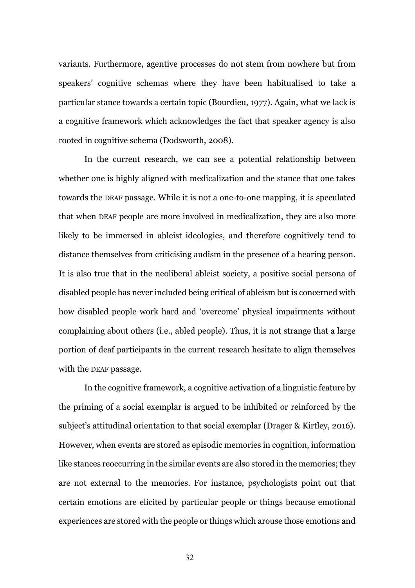variants. Furthermore, agentive processes do not stem from nowhere but from speakers' cognitive schemas where they have been habitualised to take a particular stance towards a certain topic (Bourdieu, 1977). Again, what we lack is a cognitive framework which acknowledges the fact that speaker agency is also rooted in cognitive schema (Dodsworth, 2008).

In the current research, we can see a potential relationship between whether one is highly aligned with medicalization and the stance that one takes towards the DEAF passage. While it is not a one-to-one mapping, it is speculated that when DEAF people are more involved in medicalization, they are also more likely to be immersed in ableist ideologies, and therefore cognitively tend to distance themselves from criticising audism in the presence of a hearing person. It is also true that in the neoliberal ableist society, a positive social persona of disabled people has never included being critical of ableism but is concerned with how disabled people work hard and 'overcome' physical impairments without complaining about others (i.e., abled people). Thus, it is not strange that a large portion of deaf participants in the current research hesitate to align themselves with the DEAF passage.

In the cognitive framework, a cognitive activation of a linguistic feature by the priming of a social exemplar is argued to be inhibited or reinforced by the subject's attitudinal orientation to that social exemplar (Drager & Kirtley, 2016). However, when events are stored as episodic memories in cognition, information like stances reoccurring in the similar events are also stored in the memories; they are not external to the memories. For instance, psychologists point out that certain emotions are elicited by particular people or things because emotional experiences are stored with the people or things which arouse those emotions and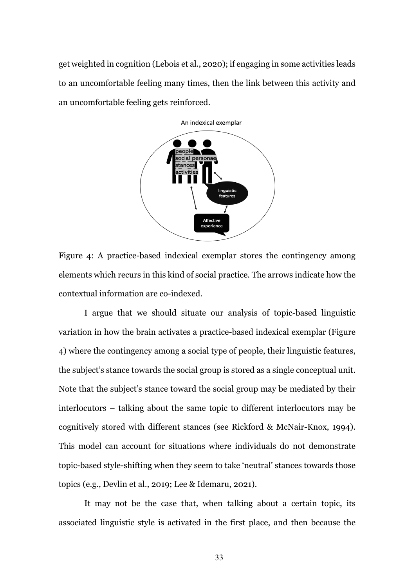get weighted in cognition (Lebois et al., 2020); if engaging in some activities leads to an uncomfortable feeling many times, then the link between this activity and an uncomfortable feeling gets reinforced.



Figure 4: A practice-based indexical exemplar stores the contingency among elements which recurs in this kind of social practice. The arrows indicate how the contextual information are co-indexed.

I argue that we should situate our analysis of topic-based linguistic variation in how the brain activates a practice-based indexical exemplar (Figure 4) where the contingency among a social type of people, their linguistic features, the subject's stance towards the social group is stored as a single conceptual unit. Note that the subject's stance toward the social group may be mediated by their interlocutors – talking about the same topic to different interlocutors may be cognitively stored with different stances (see Rickford & McNair-Knox, 1994). This model can account for situations where individuals do not demonstrate topic-based style-shifting when they seem to take 'neutral' stances towards those topics (e.g., Devlin et al., 2019; Lee & Idemaru, 2021).

It may not be the case that, when talking about a certain topic, its associated linguistic style is activated in the first place, and then because the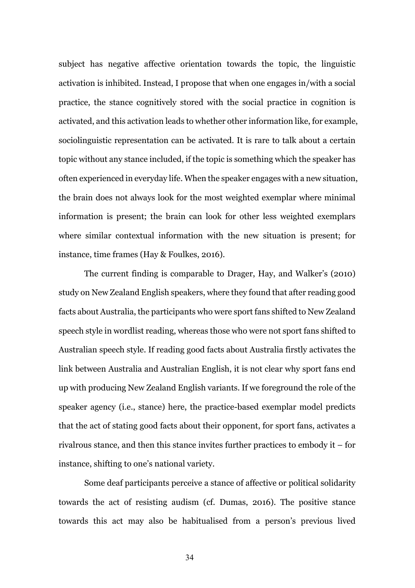subject has negative affective orientation towards the topic, the linguistic activation is inhibited. Instead, I propose that when one engages in/with a social practice, the stance cognitively stored with the social practice in cognition is activated, and this activation leads to whether other information like, for example, sociolinguistic representation can be activated. It is rare to talk about a certain topic without any stance included, if the topic is something which the speaker has often experienced in everyday life. When the speaker engages with a new situation, the brain does not always look for the most weighted exemplar where minimal information is present; the brain can look for other less weighted exemplars where similar contextual information with the new situation is present; for instance, time frames (Hay & Foulkes, 2016).

The current finding is comparable to Drager, Hay, and Walker's (2010) study on New Zealand English speakers, where they found that after reading good facts about Australia, the participants who were sport fans shifted to New Zealand speech style in wordlist reading, whereas those who were not sport fans shifted to Australian speech style. If reading good facts about Australia firstly activates the link between Australia and Australian English, it is not clear why sport fans end up with producing New Zealand English variants. If we foreground the role of the speaker agency (i.e., stance) here, the practice-based exemplar model predicts that the act of stating good facts about their opponent, for sport fans, activates a rivalrous stance, and then this stance invites further practices to embody it – for instance, shifting to one's national variety.

Some deaf participants perceive a stance of affective or political solidarity towards the act of resisting audism (cf. Dumas, 2016). The positive stance towards this act may also be habitualised from a person's previous lived

34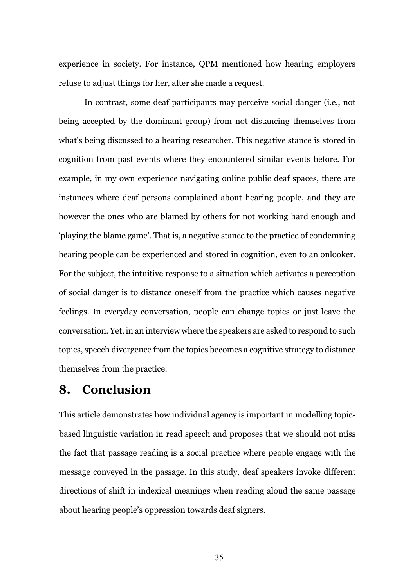experience in society. For instance, QPM mentioned how hearing employers refuse to adjust things for her, after she made a request.

In contrast, some deaf participants may perceive social danger (i.e., not being accepted by the dominant group) from not distancing themselves from what's being discussed to a hearing researcher. This negative stance is stored in cognition from past events where they encountered similar events before. For example, in my own experience navigating online public deaf spaces, there are instances where deaf persons complained about hearing people, and they are however the ones who are blamed by others for not working hard enough and 'playing the blame game'. That is, a negative stance to the practice of condemning hearing people can be experienced and stored in cognition, even to an onlooker. For the subject, the intuitive response to a situation which activates a perception of social danger is to distance oneself from the practice which causes negative feelings. In everyday conversation, people can change topics or just leave the conversation. Yet, in an interview where the speakers are asked to respond to such topics, speech divergence from the topics becomes a cognitive strategy to distance themselves from the practice.

# **8. Conclusion**

This article demonstrates how individual agency is important in modelling topicbased linguistic variation in read speech and proposes that we should not miss the fact that passage reading is a social practice where people engage with the message conveyed in the passage. In this study, deaf speakers invoke different directions of shift in indexical meanings when reading aloud the same passage about hearing people's oppression towards deaf signers.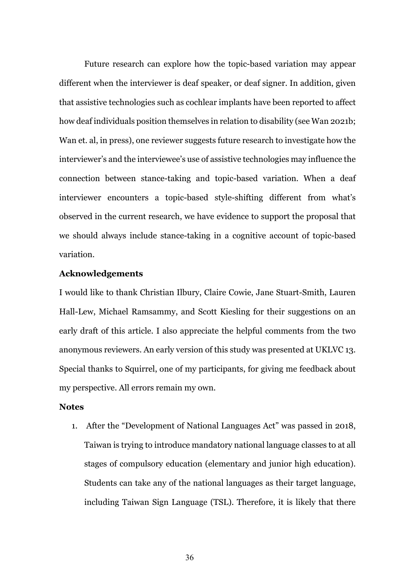Future research can explore how the topic-based variation may appear different when the interviewer is deaf speaker, or deaf signer. In addition, given that assistive technologies such as cochlear implants have been reported to affect how deaf individuals position themselves in relation to disability (see Wan 2021b; Wan et. al, in press), one reviewer suggests future research to investigate how the interviewer's and the interviewee's use of assistive technologies may influence the connection between stance-taking and topic-based variation. When a deaf interviewer encounters a topic-based style-shifting different from what's observed in the current research, we have evidence to support the proposal that we should always include stance-taking in a cognitive account of topic-based variation.

#### **Acknowledgements**

I would like to thank Christian Ilbury, Claire Cowie, Jane Stuart-Smith, Lauren Hall-Lew, Michael Ramsammy, and Scott Kiesling for their suggestions on an early draft of this article. I also appreciate the helpful comments from the two anonymous reviewers. An early version of this study was presented at UKLVC 13. Special thanks to Squirrel, one of my participants, for giving me feedback about my perspective. All errors remain my own.

#### **Notes**

1. After the "Development of National Languages Act" was passed in 2018, Taiwan is trying to introduce mandatory national language classes to at all stages of compulsory education (elementary and junior high education). Students can take any of the national languages as their target language, including Taiwan Sign Language (TSL). Therefore, it is likely that there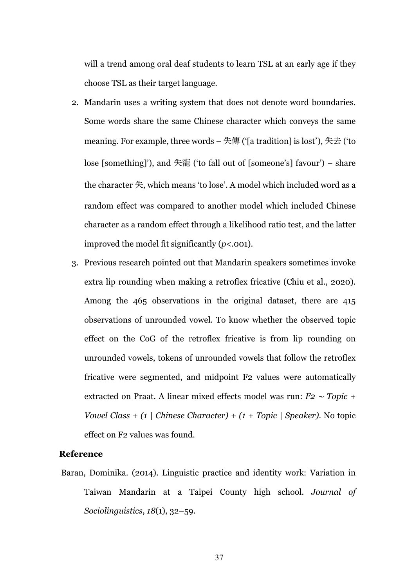will a trend among oral deaf students to learn TSL at an early age if they choose TSL as their target language.

- 2. Mandarin uses a writing system that does not denote word boundaries. Some words share the same Chinese character which conveys the same meaning. For example, three words  $-$  失傳 ('[a tradition] is lost'), 失去 ('to lose [something]'), and 失寵 ('to fall out of [someone's] favour') – share the character 失, which means 'to lose'. A model which included word as a random effect was compared to another model which included Chinese character as a random effect through a likelihood ratio test, and the latter improved the model fit significantly (*p*<.001).
- 3. Previous research pointed out that Mandarin speakers sometimes invoke extra lip rounding when making a retroflex fricative (Chiu et al., 2020). Among the 465 observations in the original dataset, there are 415 observations of unrounded vowel. To know whether the observed topic effect on the CoG of the retroflex fricative is from lip rounding on unrounded vowels, tokens of unrounded vowels that follow the retroflex fricative were segmented, and midpoint F2 values were automatically extracted on Praat. A linear mixed effects model was run: *F2* <sup>∼</sup> *Topic + Vowel Class + (1 | Chinese Character) + (1 + Topic | Speaker).* No topic effect on F2 values was found.

#### **Reference**

Baran, Dominika. (2014). Linguistic practice and identity work: Variation in Taiwan Mandarin at a Taipei County high school. *Journal of Sociolinguistics*, *18*(1), 32–59.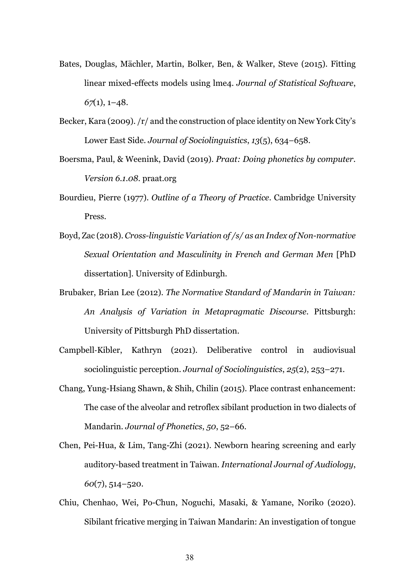- Bates, Douglas, Mächler, Martin, Bolker, Ben, & Walker, Steve (2015). Fitting linear mixed-effects models using lme4. *Journal of Statistical Software*, *67*(1), 1–48.
- Becker, Kara (2009). /r/ and the construction of place identity on New York City's Lower East Side. *Journal of Sociolinguistics*, *13*(5), 634–658.
- Boersma, Paul, & Weenink, David (2019). *Praat: Doing phonetics by computer. Version 6.1.08*. praat.org
- Bourdieu, Pierre (1977). *Outline of a Theory of Practice*. Cambridge University Press.
- Boyd, Zac (2018). *Cross-linguistic Variation of /s/ as an Index of Non-normative Sexual Orientation and Masculinity in French and German Men* [PhD dissertation]. University of Edinburgh.
- Brubaker, Brian Lee (2012). *The Normative Standard of Mandarin in Taiwan: An Analysis of Variation in Metapragmatic Discourse*. Pittsburgh: University of Pittsburgh PhD dissertation.
- Campbell-Kibler, Kathryn (2021). Deliberative control in audiovisual sociolinguistic perception. *Journal of Sociolinguistics*, *25*(2), 253–271.
- Chang, Yung-Hsiang Shawn, & Shih, Chilin (2015). Place contrast enhancement: The case of the alveolar and retroflex sibilant production in two dialects of Mandarin. *Journal of Phonetics*, *50*, 52–66.
- Chen, Pei-Hua, & Lim, Tang-Zhi (2021). Newborn hearing screening and early auditory-based treatment in Taiwan. *International Journal of Audiology*, *60*(7), 514–520.
- Chiu, Chenhao, Wei, Po-Chun, Noguchi, Masaki, & Yamane, Noriko (2020). Sibilant fricative merging in Taiwan Mandarin: An investigation of tongue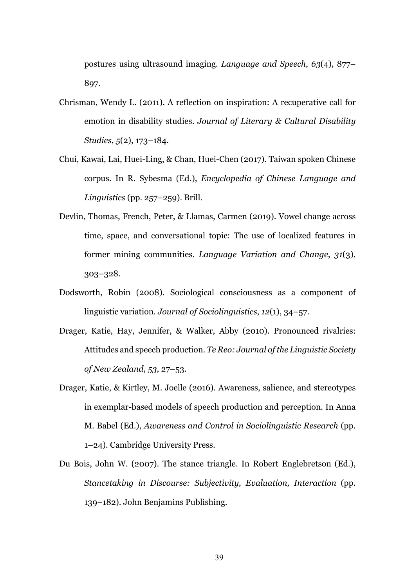postures using ultrasound imaging. *Language and Speech*, *63*(4), 877– 897.

- Chrisman, Wendy L. (2011). A reflection on inspiration: A recuperative call for emotion in disability studies. *Journal of Literary & Cultural Disability Studies*, *5*(2), 173–184.
- Chui, Kawai, Lai, Huei-Ling, & Chan, Huei-Chen (2017). Taiwan spoken Chinese corpus. In R. Sybesma (Ed.), *Encyclopedia of Chinese Language and Linguistics* (pp. 257–259). Brill.
- Devlin, Thomas, French, Peter, & Llamas, Carmen (2019). Vowel change across time, space, and conversational topic: The use of localized features in former mining communities. *Language Variation and Change*, *31*(3), 303–328.
- Dodsworth, Robin (2008). Sociological consciousness as a component of linguistic variation. *Journal of Sociolinguistics*, *12*(1), 34–57.
- Drager, Katie, Hay, Jennifer, & Walker, Abby (2010). Pronounced rivalries: Attitudes and speech production. *Te Reo: Journal of the Linguistic Society of New Zealand*, *53*, 27–53.
- Drager, Katie, & Kirtley, M. Joelle (2016). Awareness, salience, and stereotypes in exemplar-based models of speech production and perception. In Anna M. Babel (Ed.), *Awareness and Control in Sociolinguistic Research* (pp. 1–24). Cambridge University Press.
- Du Bois, John W. (2007). The stance triangle. In Robert Englebretson (Ed.), *Stancetaking in Discourse: Subjectivity, Evaluation, Interaction* (pp. 139–182). John Benjamins Publishing.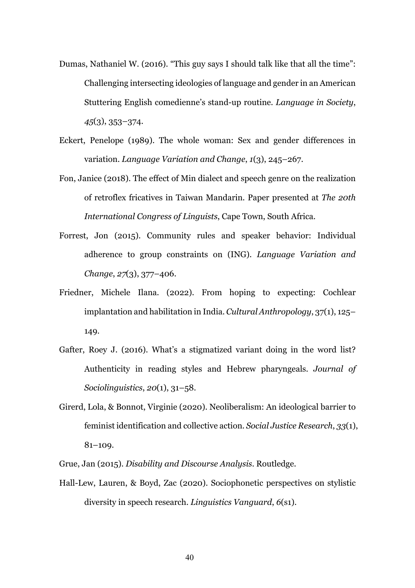- Dumas, Nathaniel W. (2016). "This guy says I should talk like that all the time": Challenging intersecting ideologies of language and gender in an American Stuttering English comedienne's stand-up routine. *Language in Society*, *45*(3), 353–374.
- Eckert, Penelope (1989). The whole woman: Sex and gender differences in variation. *Language Variation and Change*, *1*(3), 245–267.
- Fon, Janice (2018). The effect of Min dialect and speech genre on the realization of retroflex fricatives in Taiwan Mandarin. Paper presented at *The 20th International Congress of Linguists*, Cape Town, South Africa.
- Forrest, Jon (2015). Community rules and speaker behavior: Individual adherence to group constraints on (ING). *Language Variation and Change*, *27*(3), 377–406.
- Friedner, Michele Ilana. (2022). From hoping to expecting: Cochlear implantation and habilitation in India. *Cultural Anthropology*, 37(1), 125– 149.
- Gafter, Roey J. (2016). What's a stigmatized variant doing in the word list? Authenticity in reading styles and Hebrew pharyngeals. *Journal of Sociolinguistics*, *20*(1), 31–58.
- Girerd, Lola, & Bonnot, Virginie (2020). Neoliberalism: An ideological barrier to feminist identification and collective action. *Social Justice Research*, *33*(1), 81–109.

Grue, Jan (2015). *Disability and Discourse Analysis*. Routledge.

Hall-Lew, Lauren, & Boyd, Zac (2020). Sociophonetic perspectives on stylistic diversity in speech research. *Linguistics Vanguard*, *6*(s1).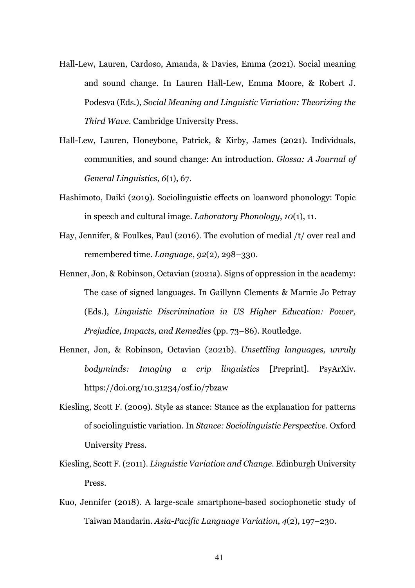- Hall-Lew, Lauren, Cardoso, Amanda, & Davies, Emma (2021). Social meaning and sound change. In Lauren Hall-Lew, Emma Moore, & Robert J. Podesva (Eds.), *Social Meaning and Linguistic Variation: Theorizing the Third Wave*. Cambridge University Press.
- Hall-Lew, Lauren, Honeybone, Patrick, & Kirby, James (2021). Individuals, communities, and sound change: An introduction. *Glossa: A Journal of General Linguistics*, *6*(1), 67.
- Hashimoto, Daiki (2019). Sociolinguistic effects on loanword phonology: Topic in speech and cultural image. *Laboratory Phonology*, *10*(1), 11.
- Hay, Jennifer, & Foulkes, Paul (2016). The evolution of medial /t/ over real and remembered time. *Language*, *92*(2), 298–330.
- Henner, Jon, & Robinson, Octavian (2021a). Signs of oppression in the academy: The case of signed languages. In Gaillynn Clements & Marnie Jo Petray (Eds.), *Linguistic Discrimination in US Higher Education: Power, Prejudice, Impacts, and Remedies* (pp. 73–86). Routledge.
- Henner, Jon, & Robinson, Octavian (2021b). *Unsettling languages, unruly bodyminds: Imaging a crip linguistics* [Preprint]. PsyArXiv. https://doi.org/10.31234/osf.io/7bzaw
- Kiesling, Scott F. (2009). Style as stance: Stance as the explanation for patterns of sociolinguistic variation. In *Stance: Sociolinguistic Perspective*. Oxford University Press.
- Kiesling, Scott F. (2011). *Linguistic Variation and Change*. Edinburgh University Press.
- Kuo, Jennifer (2018). A large-scale smartphone-based sociophonetic study of Taiwan Mandarin. *Asia-Pacific Language Variation*, *4*(2), 197–230.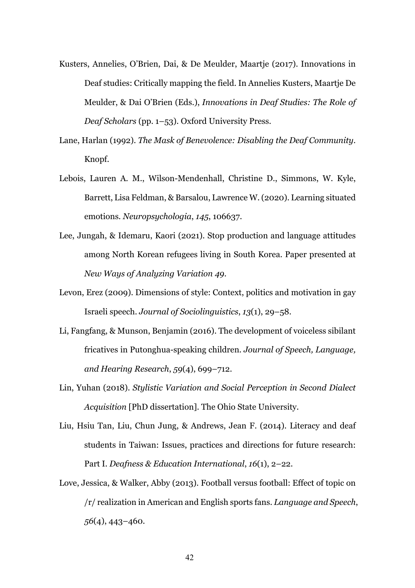- Kusters, Annelies, O'Brien, Dai, & De Meulder, Maartje (2017). Innovations in Deaf studies: Critically mapping the field. In Annelies Kusters, Maartje De Meulder, & Dai O'Brien (Eds.), *Innovations in Deaf Studies: The Role of Deaf Scholars* (pp. 1–53). Oxford University Press.
- Lane, Harlan (1992). *The Mask of Benevolence: Disabling the Deaf Community*. Knopf.
- Lebois, Lauren A. M., Wilson-Mendenhall, Christine D., Simmons, W. Kyle, Barrett, Lisa Feldman, & Barsalou, Lawrence W. (2020). Learning situated emotions. *Neuropsychologia*, *145*, 106637.
- Lee, Jungah, & Idemaru, Kaori (2021). Stop production and language attitudes among North Korean refugees living in South Korea. Paper presented at *New Ways of Analyzing Variation 49*.
- Levon, Erez (2009). Dimensions of style: Context, politics and motivation in gay Israeli speech. *Journal of Sociolinguistics*, *13*(1), 29–58.
- Li, Fangfang, & Munson, Benjamin (2016). The development of voiceless sibilant fricatives in Putonghua-speaking children. *Journal of Speech, Language, and Hearing Research*, *59*(4), 699–712.
- Lin, Yuhan (2018). *Stylistic Variation and Social Perception in Second Dialect Acquisition* [PhD dissertation]. The Ohio State University.
- Liu, Hsiu Tan, Liu, Chun Jung, & Andrews, Jean F. (2014). Literacy and deaf students in Taiwan: Issues, practices and directions for future research: Part I. *Deafness & Education International*, *16*(1), 2–22.
- Love, Jessica, & Walker, Abby (2013). Football versus football: Effect of topic on /r/ realization in American and English sports fans. *Language and Speech*, *56*(4), 443–460.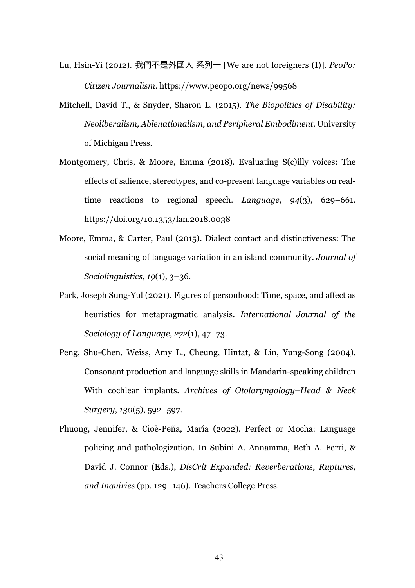- Lu, Hsin-Yi (2012). 我們不是外國人 系列一 [We are not foreigners (I)]. *PeoPo: Citizen Journalism*. https://www.peopo.org/news/99568
- Mitchell, David T., & Snyder, Sharon L. (2015). *The Biopolitics of Disability: Neoliberalism, Ablenationalism, and Peripheral Embodiment*. University of Michigan Press.
- Montgomery, Chris, & Moore, Emma (2018). Evaluating S(c)illy voices: The effects of salience, stereotypes, and co-present language variables on realtime reactions to regional speech. *Language*, *94*(3), 629–661. https://doi.org/10.1353/lan.2018.0038
- Moore, Emma, & Carter, Paul (2015). Dialect contact and distinctiveness: The social meaning of language variation in an island community. *Journal of Sociolinguistics*, *19*(1), 3–36.
- Park, Joseph Sung-Yul (2021). Figures of personhood: Time, space, and affect as heuristics for metapragmatic analysis. *International Journal of the Sociology of Language*, *272*(1), 47–73.
- Peng, Shu-Chen, Weiss, Amy L., Cheung, Hintat, & Lin, Yung-Song (2004). Consonant production and language skills in Mandarin-speaking children With cochlear implants. *Archives of Otolaryngology–Head & Neck Surgery*, *130*(5), 592–597.
- Phuong, Jennifer, & Cioè-Peña, María (2022). Perfect or Mocha: Language policing and pathologization. In Subini A. Annamma, Beth A. Ferri, & David J. Connor (Eds.), *DisCrit Expanded: Reverberations, Ruptures, and Inquiries* (pp. 129–146). Teachers College Press.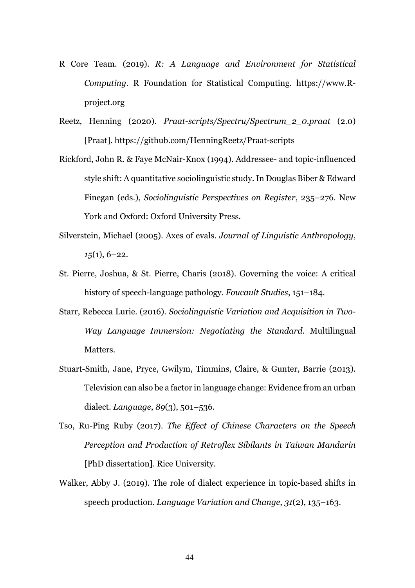- R Core Team. (2019). *R: A Language and Environment for Statistical Computing*. R Foundation for Statistical Computing. https://www.Rproject.org
- Reetz, Henning (2020). *Praat-scripts/Spectru/Spectrum\_2\_0.praat* (2.0) [Praat]. https://github.com/HenningReetz/Praat-scripts
- Rickford, John R. & Faye McNair-Knox (1994). Addressee- and topic-influenced style shift: A quantitative sociolinguistic study. In Douglas Biber & Edward Finegan (eds.), *Sociolinguistic Perspectives on Register*, 235–276. New York and Oxford: Oxford University Press.
- Silverstein, Michael (2005). Axes of evals. *Journal of Linguistic Anthropology*, *15*(1), 6–22.
- St. Pierre, Joshua, & St. Pierre, Charis (2018). Governing the voice: A critical history of speech-language pathology. *Foucault Studies*, 151–184.
- Starr, Rebecca Lurie. (2016). *Sociolinguistic Variation and Acquisition in Two-Way Language Immersion: Negotiating the Standard*. Multilingual Matters.
- Stuart-Smith, Jane, Pryce, Gwilym, Timmins, Claire, & Gunter, Barrie (2013). Television can also be a factor in language change: Evidence from an urban dialect. *Language*, *89*(3), 501–536.
- Tso, Ru-Ping Ruby (2017). *The Effect of Chinese Characters on the Speech Perception and Production of Retroflex Sibilants in Taiwan Mandarin* [PhD dissertation]. Rice University.
- Walker, Abby J. (2019). The role of dialect experience in topic-based shifts in speech production. *Language Variation and Change*, *31*(2), 135–163.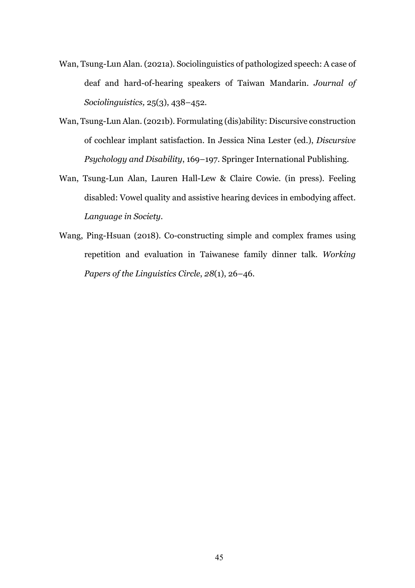- Wan, Tsung-Lun Alan. (2021a). Sociolinguistics of pathologized speech: A case of deaf and hard-of-hearing speakers of Taiwan Mandarin. *Journal of Sociolinguistics,* 25(3), 438–452.
- Wan, Tsung-Lun Alan. (2021b). Formulating (dis)ability: Discursive construction of cochlear implant satisfaction. In Jessica Nina Lester (ed.), *Discursive Psychology and Disability*, 169–197. Springer International Publishing.
- Wan, Tsung-Lun Alan, Lauren Hall-Lew & Claire Cowie. (in press). Feeling disabled: Vowel quality and assistive hearing devices in embodying affect. *Language in Society*.
- Wang, Ping-Hsuan (2018). Co-constructing simple and complex frames using repetition and evaluation in Taiwanese family dinner talk. *Working Papers of the Linguistics Circle*, *28*(1), 26–46.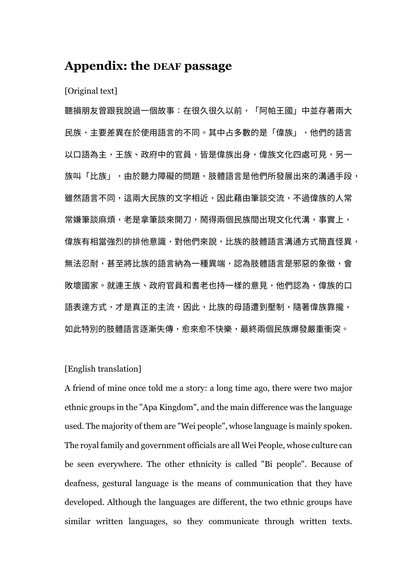## **Appendix: the DEAF passage**

#### [Original text]

聽損朋友曾跟我說過一個故事:在很久很久以前,「阿帕王國」中並存著兩大 ⺠族,主要差異在於使用語言的不同。其中占多數的是「偉族」,他們的語言 以口語為主,王族、政府中的官員,皆是偉族出身,偉族文化四處可見,另一 族叫「比族」,由於聽力障礙的問題,肢體語言是他們所發展出來的溝通手段, 雖然語言不同,這兩大民族的文字相近,因此藉由筆談交流,不過偉族的人常 常嫌筆談麻煩,老是拿筆談來開刀,鬧得兩個民族間出現文化代溝,事實上, 偉族有相當強烈的排他意識,對他們來說,比族的肢體語言溝通方式簡直怪異, 無法忍耐,甚至將比族的語言納為一種異端,認為肢體語言是邪惡的象徵,會 敗壞國家。就連王族、政府官員和耆老也持一樣的意見,他們認為,偉族的口 語表達方式,才是真正的主流,因此,比族的母語遭到壓制,隨著偉族靠攏, 如此特別的肢體語言逐漸失傳,愈來愈不快樂,最終兩個民族爆發嚴重衝突。

#### [English translation]

A friend of mine once told me a story: a long time ago, there were two major ethnic groups in the "Apa Kingdom", and the main difference was the language used. The majority of them are "Wei people", whose language is mainly spoken. The royal family and government officials are all Wei People, whose culture can be seen everywhere. The other ethnicity is called "Bi people". Because of deafness, gestural language is the means of communication that they have developed. Although the languages are different, the two ethnic groups have similar written languages, so they communicate through written texts.